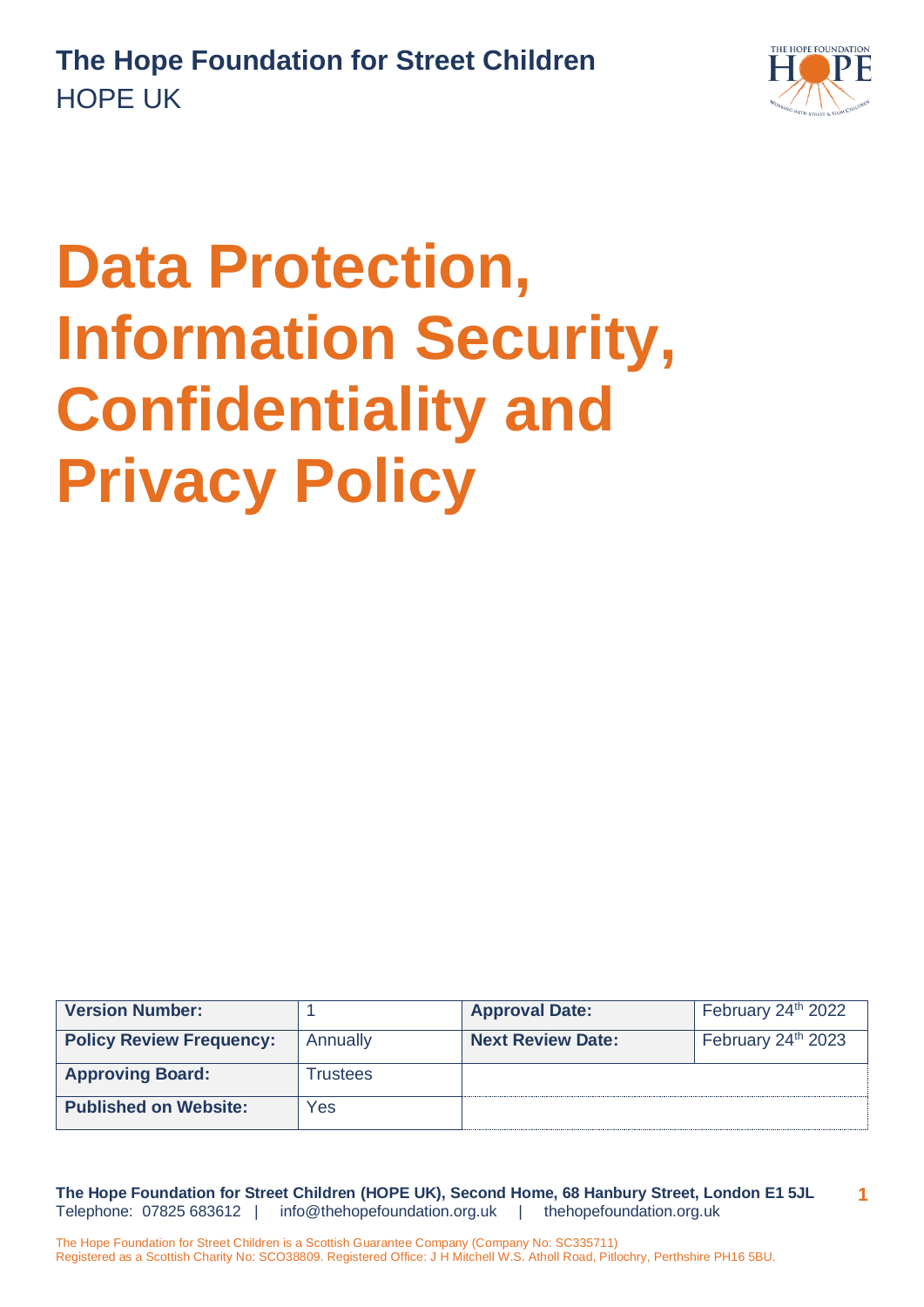

# **Data Protection, Information Security, Confidentiality and Privacy Policy**

| <b>Version Number:</b>          |          | <b>Approval Date:</b>    | February 24th 2022             |
|---------------------------------|----------|--------------------------|--------------------------------|
| <b>Policy Review Frequency:</b> | Annually | <b>Next Review Date:</b> | February 24 <sup>th</sup> 2023 |
| <b>Approving Board:</b>         | Trustees |                          |                                |
| <b>Published on Website:</b>    | Yes      |                          |                                |

**The Hope Foundation for Street Children (HOPE UK), Second Home, 68 Hanbury Street, London E1 5JL** Telephone: 07825 683612 | [info@thehopefoundation.org.uk](mailto:info@thehopefoundation.org.uk) | thehopefoundation.org.uk **1**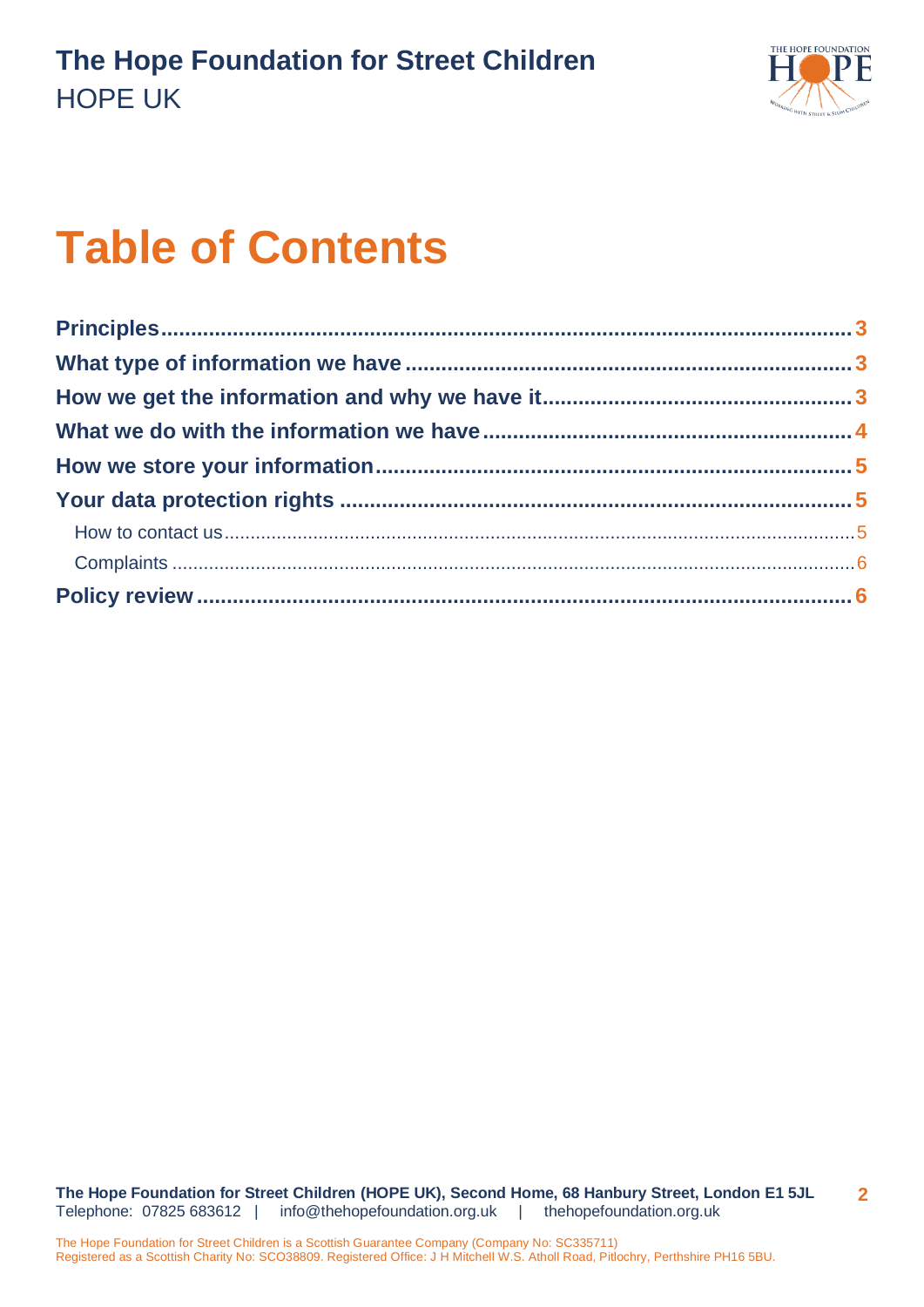

## **Table of Contents**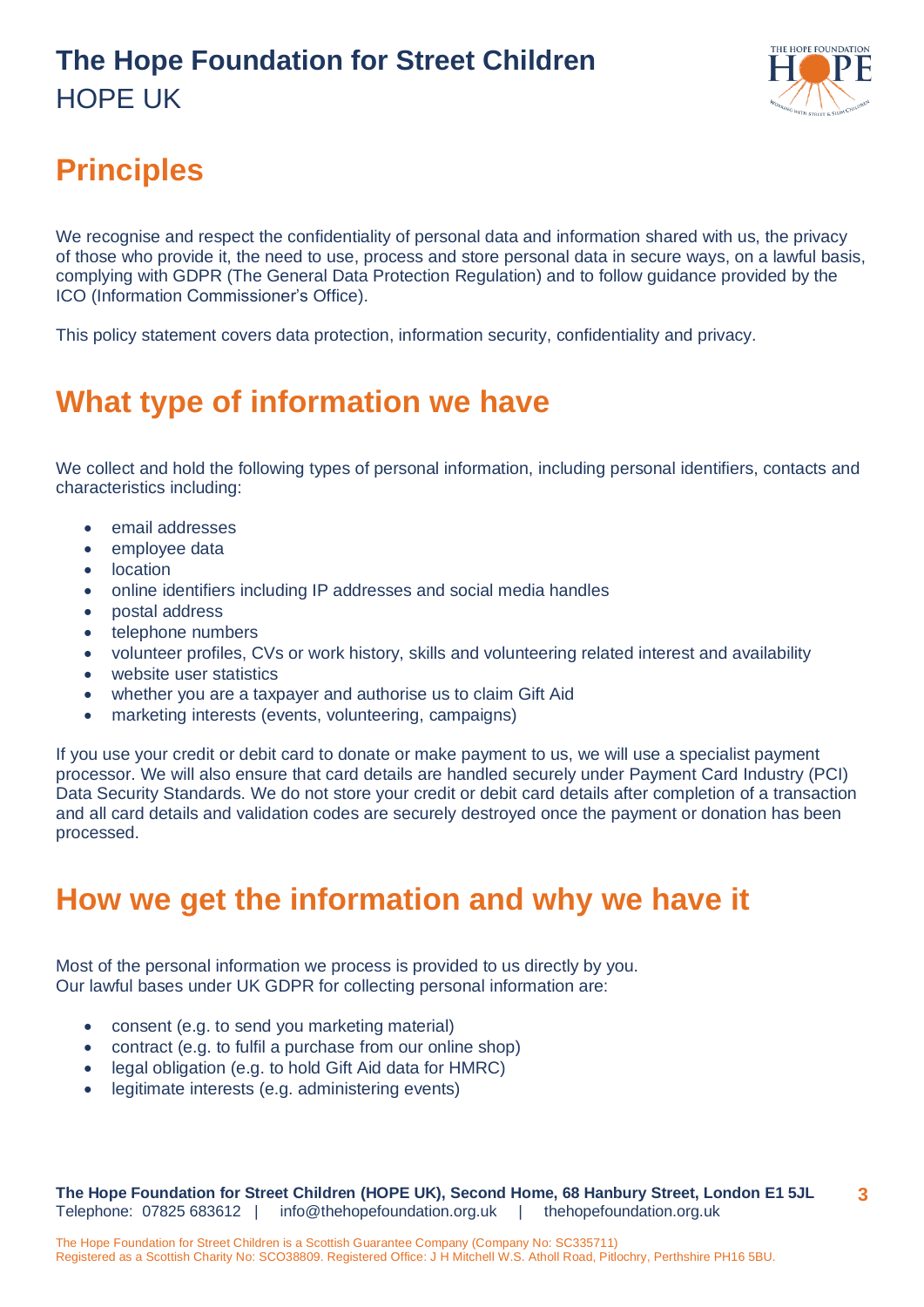

### <span id="page-2-0"></span>**Principles**

We recognise and respect the confidentiality of personal data and information shared with us, the privacy of those who provide it, the need to use, process and store personal data in secure ways, on a lawful basis, complying with GDPR (The General Data Protection Regulation) and to follow guidance provided by the ICO (Information Commissioner's Office).

This policy statement covers data protection, information security, confidentiality and privacy.

#### <span id="page-2-1"></span>**What type of information we have**

We collect and hold the following types of personal information, including personal identifiers, contacts and characteristics including:

- email addresses
- employee data
- **location**
- online identifiers including IP addresses and social media handles
- postal address
- telephone numbers
- volunteer profiles, CVs or work history, skills and volunteering related interest and availability
- website user statistics
- whether you are a taxpayer and authorise us to claim Gift Aid
- marketing interests (events, volunteering, campaigns)

If you use your credit or debit card to donate or make payment to us, we will use a specialist payment processor. We will also ensure that card details are handled securely under Payment Card Industry (PCI) Data Security Standards. We do not store your credit or debit card details after completion of a transaction and all card details and validation codes are securely destroyed once the payment or donation has been processed.

#### <span id="page-2-2"></span>**How we get the information and why we have it**

Most of the personal information we process is provided to us directly by you. Our lawful bases under UK GDPR for collecting personal information are:

- consent (e.g. to send you marketing material)
- contract (e.g. to fulfil a purchase from our online shop)
- legal obligation (e.g. to hold Gift Aid data for HMRC)
- legitimate interests (e.g. administering events)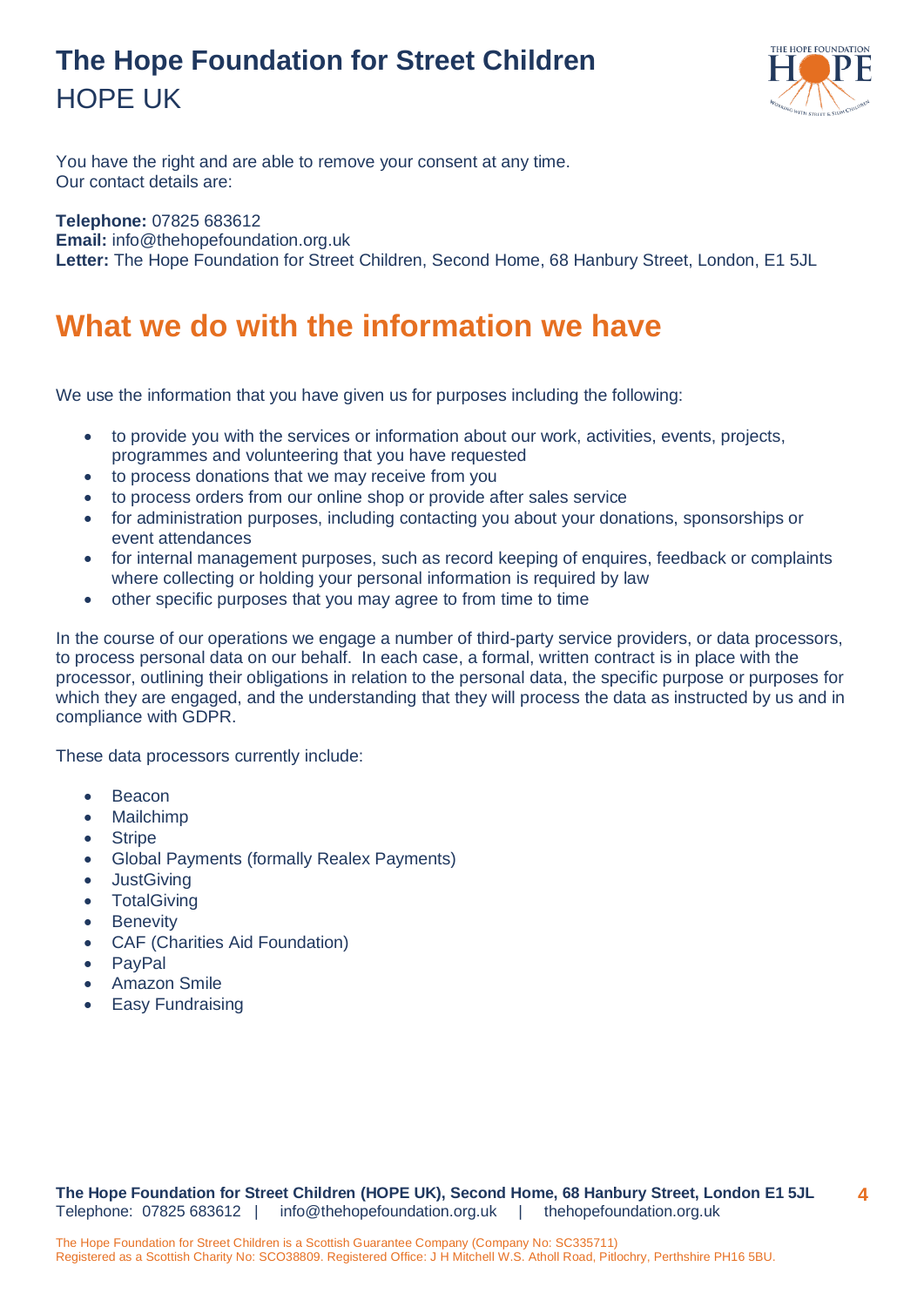<span id="page-3-0"></span>

You have the right and are able to remove your consent at any time. Our contact details are:

**Telephone:** 07825 683612 **Email:** [info@thehopefoundation.org.uk](mailto:info@thehopefoundation.org.uk) **Letter:** The Hope Foundation for Street Children, Second Home, 68 Hanbury Street, London, E1 5JL

#### **What we do with the information we have**

We use the information that you have given us for purposes including the following:

- to provide you with the services or information about our work, activities, events, projects, programmes and volunteering that you have requested
- to process donations that we may receive from you
- to process orders from our online shop or provide after sales service
- for administration purposes, including contacting you about your donations, sponsorships or event attendances
- for internal management purposes, such as record keeping of enquires, feedback or complaints where collecting or holding your personal information is required by law
- other specific purposes that you may agree to from time to time

In the course of our operations we engage a number of third-party service providers, or data processors, to process personal data on our behalf. In each case, a formal, written contract is in place with the processor, outlining their obligations in relation to the personal data, the specific purpose or purposes for which they are engaged, and the understanding that they will process the data as instructed by us and in compliance with GDPR.

These data processors currently include:

- **Beacon**
- Mailchimp
- Stripe
- Global Payments (formally Realex Payments)
- JustGiving
- TotalGiving
- Benevity
- CAF (Charities Aid Foundation)
- PayPal
- **Amazon Smile**
- <span id="page-3-1"></span>• Easy Fundraising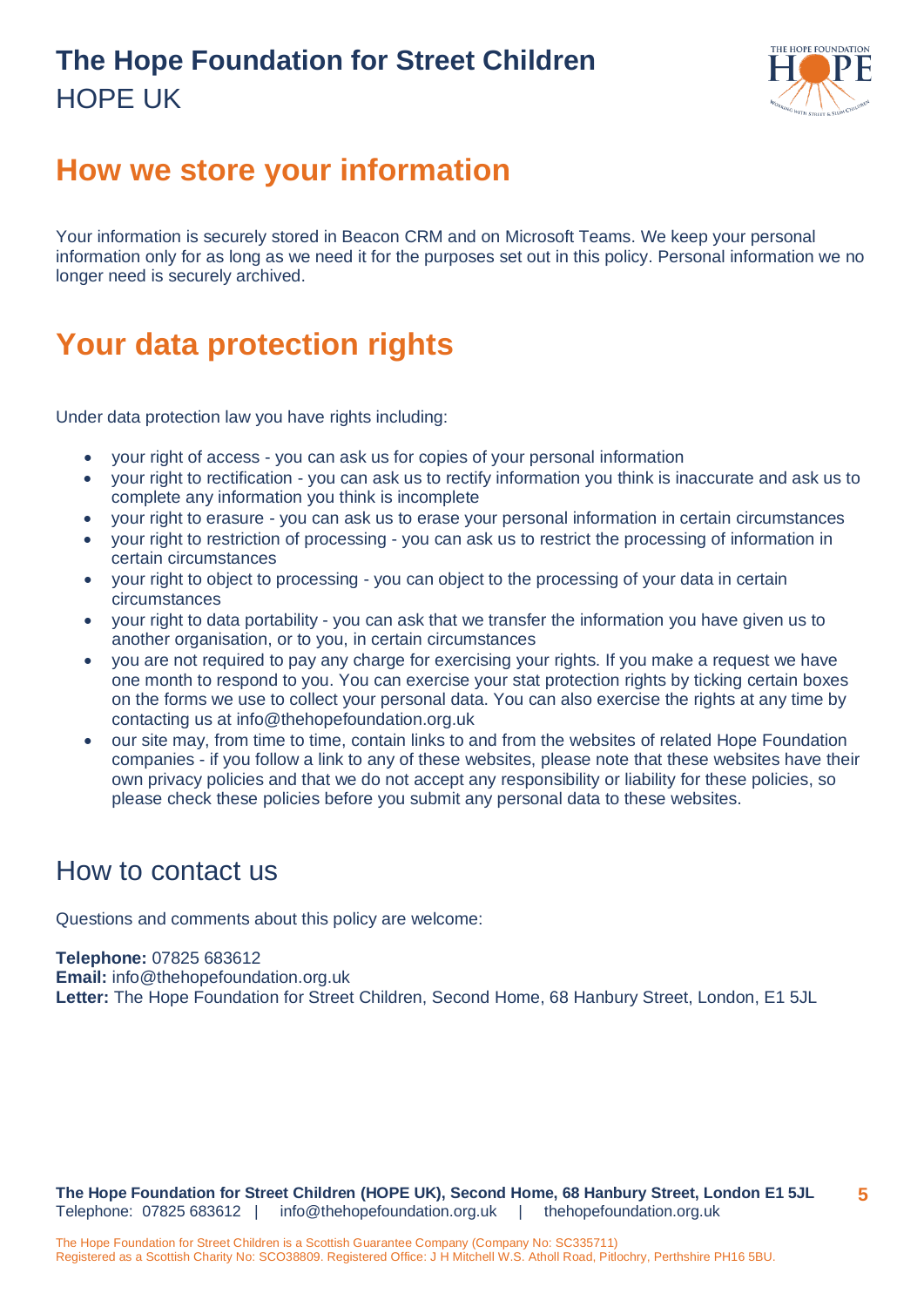

#### **How we store your information**

Your information is securely stored in Beacon CRM and on Microsoft Teams. We keep your personal information only for as long as we need it for the purposes set out in this policy. Personal information we no longer need is securely archived.

#### <span id="page-4-0"></span>**Your data protection rights**

Under data protection law you have rights including:

- your right of access you can ask us for copies of your personal information
- your right to rectification you can ask us to rectify information you think is inaccurate and ask us to complete any information you think is incomplete
- your right to erasure you can ask us to erase your personal information in certain circumstances
- your right to restriction of processing you can ask us to restrict the processing of information in certain circumstances
- your right to object to processing you can object to the processing of your data in certain circumstances
- your right to data portability you can ask that we transfer the information you have given us to another organisation, or to you, in certain circumstances
- you are not required to pay any charge for exercising your rights. If you make a request we have one month to respond to you. You can exercise your stat protection rights by ticking certain boxes on the forms we use to collect your personal data. You can also exercise the rights at any time by contacting us at info@thehopefoundation.org.uk
- our site may, from time to time, contain links to and from the websites of related Hope Foundation companies - if you follow a link to any of these websites, please note that these websites have their own privacy policies and that we do not accept any responsibility or liability for these policies, so please check these policies before you submit any personal data to these websites.

#### <span id="page-4-1"></span>How to contact us

Questions and comments about this policy are welcome:

**Telephone:** 07825 683612 **Email:** [info@thehopefoundation.org.uk](mailto:info@thehopefoundation.org.uk) **Letter:** The Hope Foundation for Street Children, Second Home, 68 Hanbury Street, London, E1 5JL

**The Hope Foundation for Street Children (HOPE UK), Second Home, 68 Hanbury Street, London E1 5JL** Telephone: 07825 683612 | [info@thehopefoundation.org.uk](mailto:info@thehopefoundation.org.uk) | thehopefoundation.org.uk **5**